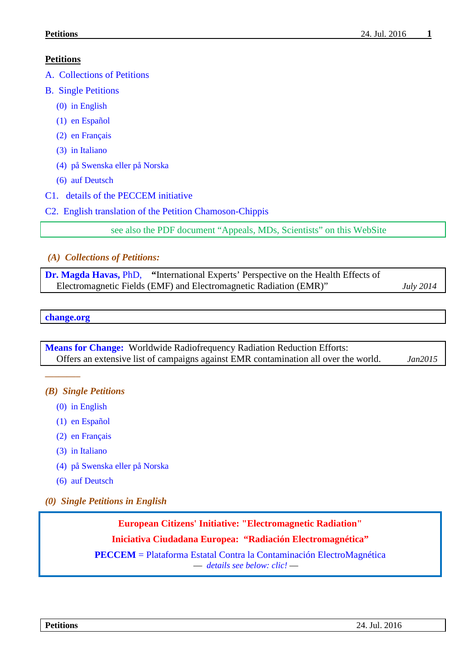### **Petitions**

- [A. Collections of Petitions](#page-0-0)
- [B. Single Petitions](#page-0-1)
	- [\(0\) in English](#page-0-2)
	- [\(1\) en Español](#page-2-0)
	- [\(2\) en Français](#page-3-0)
	- [\(3\) in Italiano](#page-3-1)
	- [\(4\) på Swenska](#page-4-0) eller på Norska
	- [\(6\) auf Deutsch](#page-4-0)
- [C1. details of the PECCEM initiative](#page-5-0)
- <span id="page-0-0"></span>[C2. English translation of the Petition Chamoson-Chippis](#page-5-1)

see also the PDF document "Appeals, MDs, Scientists" on this WebSite

#### *(A) Collections of Petitions:*

| <b>Dr. Magda Havas, PhD.</b> "International Experts' Perspective on the Health Effects of |                  |
|-------------------------------------------------------------------------------------------|------------------|
| Electromagnetic Fields (EMF) and Electromagnetic Radiation (EMR)"                         | <b>July 2014</b> |

#### **[change.org](http://www.change.org/petitions)**

*––––––––*

**[Means for Change:](http://meansforchange.org/Reduction-Efforts/Worldwide-Reduction-Efforts)** Worldwide Radiofrequency Radiation Reduction Efforts: Offers an extensive list of campaigns against EMR contamination all over the world. *Jan2015*

#### <span id="page-0-1"></span>*(B) Single Petitions*

- [\(0\) in English](#page-0-2)
- [\(1\) en Español](#page-2-0)
- [\(2\) en Français](#page-3-0)
- [\(3\) in Italiano](#page-3-1)
- [\(4\) på Swenska](#page-4-0) eller på Norska
- [\(6\) auf Deutsch](#page-4-0)
- <span id="page-0-2"></span>*(0) Single Petitions in English*

**European Citizens' Initiative: "Electromagnetic Radiation"**

**Iniciativa Ciudadana Europea: "Radiación Electromagnética"**

**PECCEM** = Plataforma [Estatal Contra la Contaminación ElectroMagnética](http://www.peccem.org/ICE2013.html)  –– *[details see below: clic!](#page-5-0)* ––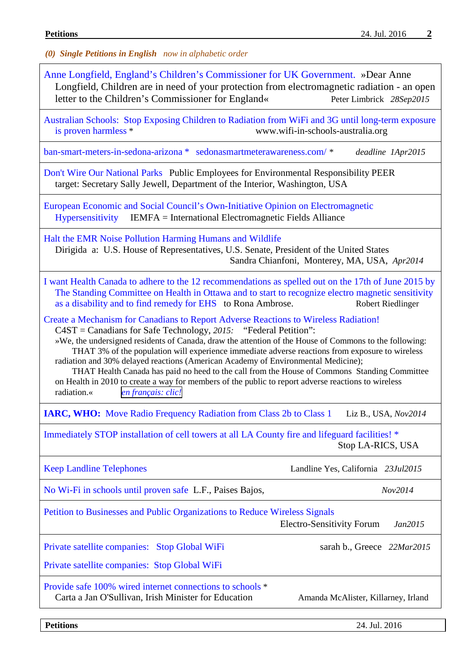| (0) Single Petitions in English now in alphabetic order                                                                                                                                                                                                                                                                                                                                                                                                                                                                                                                                                                                                                                                |  |  |  |  |
|--------------------------------------------------------------------------------------------------------------------------------------------------------------------------------------------------------------------------------------------------------------------------------------------------------------------------------------------------------------------------------------------------------------------------------------------------------------------------------------------------------------------------------------------------------------------------------------------------------------------------------------------------------------------------------------------------------|--|--|--|--|
| Anne Longfield, England's Children's Commissioner for UK Government. »Dear Anne<br>Longfield, Children are in need of your protection from electromagnetic radiation - an open<br>letter to the Children's Commissioner for England«<br>Peter Limbrick 28Sep2015                                                                                                                                                                                                                                                                                                                                                                                                                                       |  |  |  |  |
| Australian Schools: Stop Exposing Children to Radiation from WiFi and 3G until long-term exposure<br>is proven harmless *<br>www.wifi-in-schools-australia.org                                                                                                                                                                                                                                                                                                                                                                                                                                                                                                                                         |  |  |  |  |
| ban-smart-meters-in-sedona-arizona * sedonasmartmeterawareness.com/ *<br>deadline 1Apr2015                                                                                                                                                                                                                                                                                                                                                                                                                                                                                                                                                                                                             |  |  |  |  |
| Don't Wire Our National Parks Public Employees for Environmental Responsibility PEER<br>target: Secretary Sally Jewell, Department of the Interior, Washington, USA                                                                                                                                                                                                                                                                                                                                                                                                                                                                                                                                    |  |  |  |  |
| European Economic and Social Council's Own-Initiative Opinion on Electromagnetic<br>Hypersensitivity IEMFA = International Electromagnetic Fields Alliance                                                                                                                                                                                                                                                                                                                                                                                                                                                                                                                                             |  |  |  |  |
| Halt the EMR Noise Pollution Harming Humans and Wildlife<br>Dirigida a: U.S. House of Representatives, U.S. Senate, President of the United States<br>Sandra Chianfoni, Monterey, MA, USA, Apr2014                                                                                                                                                                                                                                                                                                                                                                                                                                                                                                     |  |  |  |  |
| I want Health Canada to adhere to the 12 recommendations as spelled out on the 17th of June 2015 by<br>The Standing Committee on Health in Ottawa and to start to recognize electro magnetic sensitivity<br>as a disability and to find remedy for EHS to Rona Ambrose.<br><b>Robert Riedlinger</b>                                                                                                                                                                                                                                                                                                                                                                                                    |  |  |  |  |
| Create a Mechanism for Canadians to Report Adverse Reactions to Wireless Radiation!<br>$C4ST =$ Canadians for Safe Technology, 2015: "Federal Petition":<br>»We, the undersigned residents of Canada, draw the attention of the House of Commons to the following:<br>THAT 3% of the population will experience immediate adverse reactions from exposure to wireless<br>radiation and 30% delayed reactions (American Academy of Environmental Medicine);<br>THAT Health Canada has paid no heed to the call from the House of Commons Standing Committee<br>on Health in 2010 to create a way for members of the public to report adverse reactions to wireless<br>radiation.«<br>en français: clic! |  |  |  |  |
| <b>IARC, WHO:</b> Move Radio Frequency Radiation from Class 2b to Class 1<br>Liz B., USA, Nov2014                                                                                                                                                                                                                                                                                                                                                                                                                                                                                                                                                                                                      |  |  |  |  |
| Immediately STOP installation of cell towers at all LA County fire and lifeguard facilities! *<br>Stop LA-RICS, USA                                                                                                                                                                                                                                                                                                                                                                                                                                                                                                                                                                                    |  |  |  |  |
| <b>Keep Landline Telephones</b><br>Landline Yes, California 23Jul2015                                                                                                                                                                                                                                                                                                                                                                                                                                                                                                                                                                                                                                  |  |  |  |  |
| No Wi-Fi in schools until proven safe L.F., Paises Bajos,<br>Nov2014                                                                                                                                                                                                                                                                                                                                                                                                                                                                                                                                                                                                                                   |  |  |  |  |
| Petition to Businesses and Public Organizations to Reduce Wireless Signals<br><b>Electro-Sensitivity Forum</b><br>Jan2015                                                                                                                                                                                                                                                                                                                                                                                                                                                                                                                                                                              |  |  |  |  |
| Private satellite companies: Stop Global WiFi<br>sarah b., Greece 22Mar2015                                                                                                                                                                                                                                                                                                                                                                                                                                                                                                                                                                                                                            |  |  |  |  |
| Private satellite companies: Stop Global WiFi                                                                                                                                                                                                                                                                                                                                                                                                                                                                                                                                                                                                                                                          |  |  |  |  |
| Provide safe 100% wired internet connections to schools *<br>Carta a Jan O'Sullivan, Irish Minister for Education<br>Amanda McAlister, Killarney, Irland                                                                                                                                                                                                                                                                                                                                                                                                                                                                                                                                               |  |  |  |  |
|                                                                                                                                                                                                                                                                                                                                                                                                                                                                                                                                                                                                                                                                                                        |  |  |  |  |

**Petitions** 24. Jul. 2016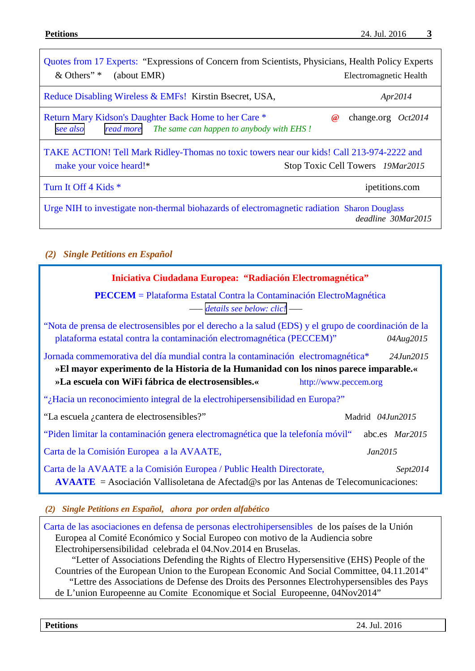| Quotes from 17 Experts: "Expressions of Concern from Scientists, Physicians, Health Policy Experts<br>& Others" *<br>(about EMR)                         | Electromagnetic Health           |  |
|----------------------------------------------------------------------------------------------------------------------------------------------------------|----------------------------------|--|
| Reduce Disabling Wireless & EMFs! Kirstin Bsecret, USA,                                                                                                  | Apr2014                          |  |
| Return Mary Kidson's Daughter Back Home to her Care *<br>see also<br>read more The same can happen to anybody with EHS!                                  | change.org $Oct2014$<br>$\omega$ |  |
| TAKE ACTION! Tell Mark Ridley-Thomas no toxic towers near our kids! Call 213-974-2222 and<br>make your voice heard!*<br>Stop Toxic Cell Towers 19Mar2015 |                                  |  |
| Turn It Off 4 Kids *                                                                                                                                     | ipetitions.com                   |  |
| Urge NIH to investigate non-thermal biohazards of electromagnetic radiation Sharon Douglass<br>deadline 30Mar2015                                        |                                  |  |

# <span id="page-2-0"></span>*(2) Single Petitions en Español*

| Iniciativa Ciudadana Europea: "Radiación Electromagnética"                                                                                                                                                                                                                        |                       |  |  |  |
|-----------------------------------------------------------------------------------------------------------------------------------------------------------------------------------------------------------------------------------------------------------------------------------|-----------------------|--|--|--|
| <b>PECCEM</b> = Plataforma Estatal Contra la Contaminación ElectroMagnética<br>details see below: clic! -                                                                                                                                                                         |                       |  |  |  |
| "Nota de prensa de electrosensibles por el derecho a la salud (EDS) y el grupo de coordinación de la<br>plataforma estatal contra la contaminación electromagnética (PECCEM)"                                                                                                     | 04Aug2015             |  |  |  |
| Jornada commemorativa del día mundial contra la contaminación electromagnética <sup>*</sup><br>24.Jun2015<br>»El mayor experimento de la Historia de la Humanidad con los ninos parece imparable.«<br>»La escuela con WiFi fábrica de electrosensibles.«<br>http://www.peccem.org |                       |  |  |  |
| "¿Hacia un reconocimiento integral de la electrohipersensibilidad en Europa?"                                                                                                                                                                                                     |                       |  |  |  |
| "La escuela <i>i</i> cantera de electrosensibles?"                                                                                                                                                                                                                                | Madrid 04Jun2015      |  |  |  |
| "Piden limitar la contaminación genera electromagnética que la telefonía móvil"                                                                                                                                                                                                   | abc.es <i>Mar2015</i> |  |  |  |
| Carta de la Comisión Europea a la AVAATE,                                                                                                                                                                                                                                         | Jan2015               |  |  |  |
| Carta de la AVAATE a la Comisión Europea / Public Health Directorate,<br>Sept2014<br><b>AVAATE</b> = Asociación Vallisoletana de Afectad $\circledcirc$ s por las Antenas de Telecomunicaciones:                                                                                  |                       |  |  |  |

*(2) Single Petitions en Español, ahora por orden alfabético*

Carta de las asociaciones [en defensa de personas electrohipersensibles](http://electrosensiblesderechosalud.org/carta-de-las-asociaciones-en-defensa-de-los-derechos-de-personas-electrohipersensibles-de-los-paises-de-la-union-europea-al-comite-economico-y-social-europeo-con-motivo-de-la-audiencia-sobre-electrohi/) de los países de la Unión Europea al Comité Económico y Social Europeo con motivo de la Audiencia sobre Electrohipersensibilidad celebrada el 04.Nov.2014 en Bruselas. "Letter of Associations Defending the Rights of Electro Hypersensitive (EHS) People of the Countries of the European Union to the European Economic And Social Committee, 04.11.2014" "Lettre des Associations de Defense des Droits des Personnes Electrohypersensibles des Pays de L'union Europeenne au Comite Economique et Social Europeenne, 04Nov2014"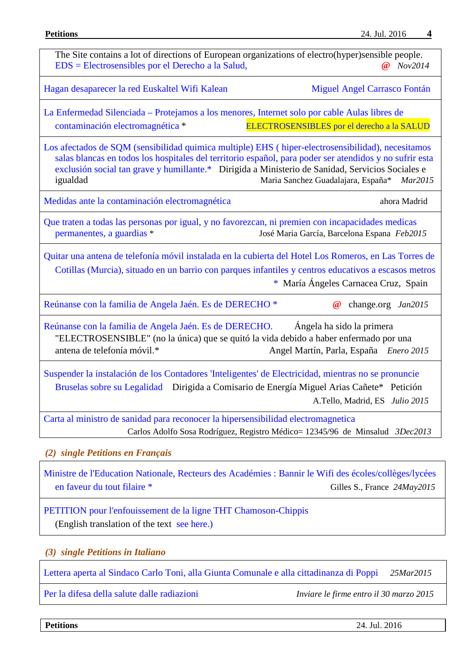| The Site contains a lot of directions of European organizations of electro(hyper)sensible people.<br>EDS = Electrosensibles por el Derecho a la Salud,                                                                                                                                                                                                                     | Nov2014                                                                                                                                      |  |  |
|----------------------------------------------------------------------------------------------------------------------------------------------------------------------------------------------------------------------------------------------------------------------------------------------------------------------------------------------------------------------------|----------------------------------------------------------------------------------------------------------------------------------------------|--|--|
| Hagan desaparecer la red Euskaltel Wifi Kalean                                                                                                                                                                                                                                                                                                                             | Miguel Angel Carrasco Fontán                                                                                                                 |  |  |
| La Enfermedad Silenciada – Protejamos a los menores, Internet solo por cable Aulas libres de<br>contaminación electromagnética *                                                                                                                                                                                                                                           | ELECTROSENSIBLES por el derecho a la SALUD                                                                                                   |  |  |
| Los afectados de SQM (sensibilidad quimica multiple) EHS (hiper-electrosensibilidad), necesitamos<br>salas blancas en todos los hospitales del territorio español, para poder ser atendidos y no sufrir esta<br>exclusión social tan grave y humillante.* Dirigida a Ministerio de Sanidad, Servicios Sociales e<br>Maria Sanchez Guadalajara, España* Mar2015<br>igualdad |                                                                                                                                              |  |  |
| Medidas ante la contaminación electromagnética                                                                                                                                                                                                                                                                                                                             | ahora Madrid                                                                                                                                 |  |  |
| Que traten a todas las personas por igual, y no favorezcan, ni premien con incapacidades medicas<br>permanentes, a guardias *<br>José Maria García, Barcelona Espana Feb2015                                                                                                                                                                                               |                                                                                                                                              |  |  |
| Quitar una antena de telefonía móvil instalada en la cubierta del Hotel Los Romeros, en Las Torres de                                                                                                                                                                                                                                                                      | Cotillas (Murcia), situado en un barrio con parques infantiles y centros educativos a escasos metros<br>* María Ángeles Carnacea Cruz, Spain |  |  |
| Reúnanse con la familia de Angela Jaén. Es de DERECHO <sup>*</sup>                                                                                                                                                                                                                                                                                                         | $\bm{\varnothing}$<br>change.org Jan2015                                                                                                     |  |  |
| Reúnanse con la familia de Angela Jaén. Es de DERECHO.<br>Ángela ha sido la primera<br>"ELECTROSENSIBLE" (no la única) que se quitó la vida debido a haber enfermado por una<br>antena de telefonía móvil.*<br>Angel Martín, Parla, España Enero 2015                                                                                                                      |                                                                                                                                              |  |  |
| Suspender la instalación de los Contadores 'Inteligentes' de Electricidad, mientras no se pronuncie<br>Bruselas sobre su Legalidad Dirigida a Comisario de Energía Miguel Arias Cañete* Petición                                                                                                                                                                           | A.Tello, Madrid, ES Julio 2015                                                                                                               |  |  |
| Carta al ministro de sanidad para reconocer la hipersensibilidad electromagnetica                                                                                                                                                                                                                                                                                          | Carlos Adolfo Sosa Rodríguez, Registro Médico= 12345/96 de Minsalud 3Dec2013                                                                 |  |  |
| (2) single Petitions en Français                                                                                                                                                                                                                                                                                                                                           |                                                                                                                                              |  |  |
| Ministre de l'Education Nationale, Recteurs des Académies : Bannir le Wifi des écoles/collèges/lycées<br>en faveur du tout filaire *                                                                                                                                                                                                                                       | Gilles S., France 24May2015                                                                                                                  |  |  |
|                                                                                                                                                                                                                                                                                                                                                                            |                                                                                                                                              |  |  |

<span id="page-3-0"></span>[PETITION pour l'enfouissement de la ligne THT Chamoson-Chippis](http://www.activism.com/fr_FR/petition/petition-pour-l-enfouissement-de-la-ligne-tht-chamoson-chippis/65272) (English translation of the text [see here.\)](#page-5-1)

#### <span id="page-3-1"></span>*(3) single Petitions in Italiano*

[Lettera aperta al Sindaco Carlo Toni, alla Giunta Comunale e alla cittadinanza di Poppi](http://www.casentino2000.it/?p=7632) *25Mar2015*

[Per la difesa della salute dalle radiazioni](http://www.infoamica.it/wp-content/uploads/2015/02/PETIZIONE-TASK-FORCE-ELETTROSMOG-SCADENZA-30-MARZO-2015.pdf) *Inviare le firme entro il 30 marzo 2015*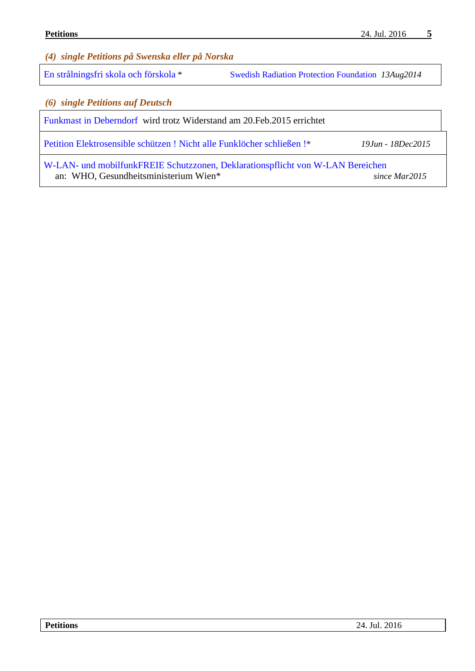<span id="page-4-0"></span>*(4) single Petitions på Swenska eller på Norska*

[En strålningsfri skola och förskola](http://www.stralskyddsstiftelsen.se/2014/08/en-stralningsfri-skola-och-forskola/) \* [Swedish Radiation Protection Foundation](http://www.stralskyddsstiftelsen.se/english/) *13Aug2014*

*(6) single Petitions auf Deutsch*

Funkmast [in Deberndorf](https://www.openpetition.de/petition/online/funkmast-in-deberndorf-wird-trotz-widerstand-am-20-2-2015-errichtet) wird trotz Widerstand am 20.Feb.2015 errichtet

[Petition Elektrosensible schützen ! Nicht alle Funklöcher schließen !\\*](https://attachment.fbsbx.com/file_download.php?id=104974129845396&eid=ASs95BsXc9fFOaPRLzGeamcL0KS0DKGXQuduRzVmVadTAm3rY1LBWOMRgOPAQbhCMxQ&inline=1&ext=1435226392&hash=ASvyVKuHy0E7fpqT) *19Jun - 18Dec2015*

W-LAN- und mobilfunkFREIE [Schutzzonen, Deklarationspflicht von W-LAN Bereichen](https://weact.campact.de/petitions/w-lan-und-mobilfunkfreie-schutzzonen-deklarationspflicht-von-w-lan-bereichen) an: WHO, Gesundheitsministerium Wien\* *since Mar2015*